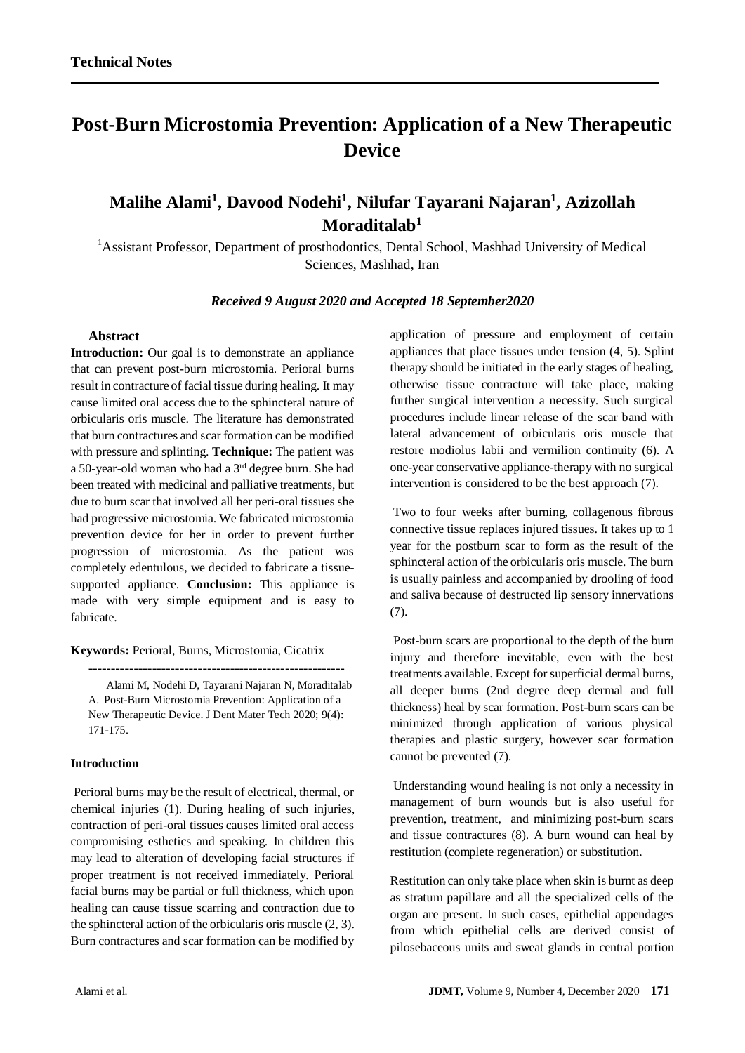# **Post-Burn Microstomia Prevention: Application of a New Therapeutic Device**

## **Malihe Alami<sup>1</sup> , Davood Nodehi<sup>1</sup> , Nilufar Tayarani Najaran<sup>1</sup> , Azizollah Moraditalab<sup>1</sup>**

<sup>1</sup>Assistant Professor, Department of prosthodontics, Dental School, Mashhad University of Medical Sciences, Mashhad, Iran

#### *Received 9 August 2020 and Accepted 18 September2020*

#### **Abstract**

**Introduction:** Our goal is to demonstrate an appliance that can prevent post-burn microstomia. Perioral burns result in contracture of facial tissue during healing. It may cause limited oral access due to the sphincteral nature of orbicularis oris muscle. The literature has demonstrated that burn contractures and scar formation can be modified with pressure and splinting. **Technique:** The patient was a 50-year-old woman who had a 3rd degree burn. She had been treated with medicinal and palliative treatments, but due to burn scar that involved all her peri-oral tissues she had progressive microstomia. We fabricated microstomia prevention device for her in order to prevent further progression of microstomia. As the patient was completely edentulous, we decided to fabricate a tissuesupported appliance. **Conclusion:** This appliance is made with very simple equipment and is easy to fabricate.

**Keywords:** Perioral, Burns, Microstomia, Cicatrix

Alami M, Nodehi D, Tayarani Najaran N, Moraditalab A. Post-Burn Microstomia Prevention: Application of a New Therapeutic Device. J Dent Mater Tech 2020; 9(4): 171-175.

--------------------------------------------------------

#### **Introduction**

Perioral burns may be the result of electrical, thermal, or chemical injuries (1). During healing of such injuries, contraction of peri-oral tissues causes limited oral access compromising esthetics and speaking. In children this may lead to alteration of developing facial structures if proper treatment is not received immediately. Perioral facial burns may be partial or full thickness, which upon healing can cause tissue scarring and contraction due to the sphincteral action of the orbicularis oris muscle (2, 3). Burn contractures and scar formation can be modified by

application of pressure and employment of certain appliances that place tissues under tension (4, 5). Splint therapy should be initiated in the early stages of healing, otherwise tissue contracture will take place, making further surgical intervention a necessity. Such surgical procedures include linear release of the scar band with lateral advancement of orbicularis oris muscle that restore modiolus labii and vermilion continuity (6). A one-year conservative appliance-therapy with no surgical intervention is considered to be the best approach (7).

Two to four weeks after burning, collagenous fibrous connective tissue replaces injured tissues. It takes up to 1 year for the postburn scar to form as the result of the sphincteral action of the orbicularis oris muscle. The burn is usually painless and accompanied by drooling of food and saliva because of destructed lip sensory innervations (7).

Post-burn scars are proportional to the depth of the burn injury and therefore inevitable, even with the best treatments available. Except for superficial dermal burns, all deeper burns (2nd degree deep dermal and full thickness) heal by scar formation. Post-burn scars can be minimized through application of various physical therapies and plastic surgery, however scar formation cannot be prevented (7).

Understanding wound healing is not only a necessity in management of burn wounds but is also useful for prevention, treatment, and minimizing post-burn scars and tissue contractures (8). A burn wound can heal by restitution (complete regeneration) or substitution.

Restitution can only take place when skin is burnt as deep as stratum papillare and all the specialized cells of the organ are present. In such cases, epithelial appendages from which epithelial cells are derived consist of pilosebaceous units and sweat glands in central portion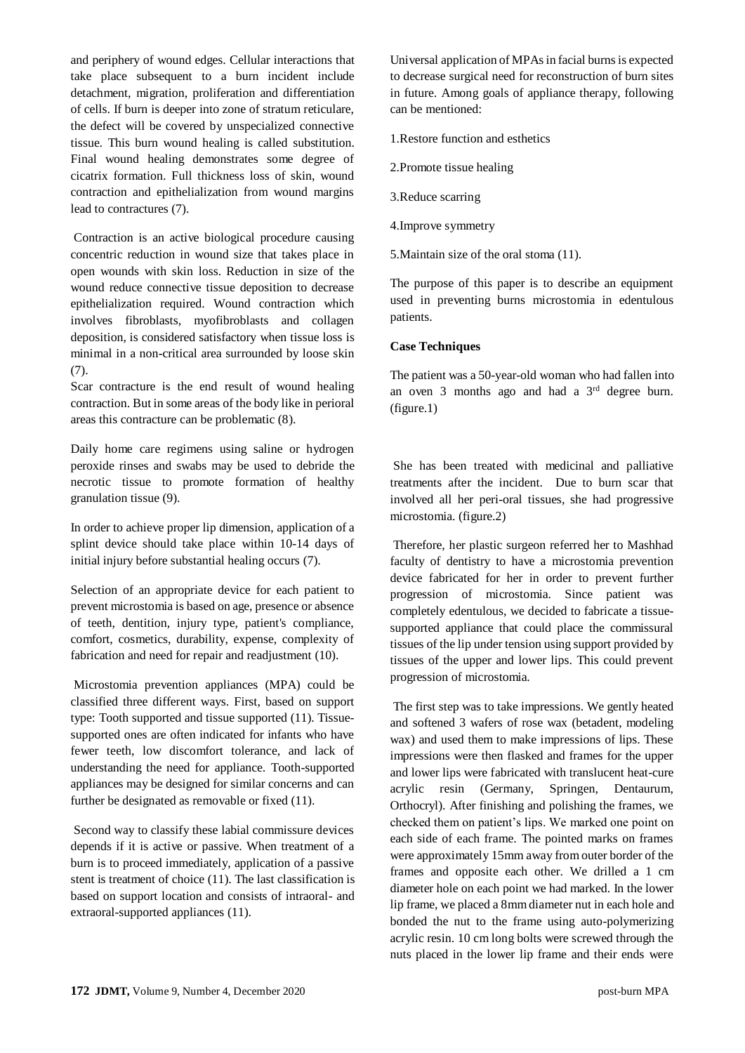and periphery of wound edges. Cellular interactions that take place subsequent to a burn incident include detachment, migration, proliferation and differentiation of cells. If burn is deeper into zone of stratum reticulare, the defect will be covered by unspecialized connective tissue. This burn wound healing is called substitution. Final wound healing demonstrates some degree of cicatrix formation. Full thickness loss of skin, wound contraction and epithelialization from wound margins lead to contractures (7).

Contraction is an active biological procedure causing concentric reduction in wound size that takes place in open wounds with skin loss. Reduction in size of the wound reduce connective tissue deposition to decrease epithelialization required. Wound contraction which involves fibroblasts, myofibroblasts and collagen deposition, is considered satisfactory when tissue loss is minimal in a non-critical area surrounded by loose skin (7).

Scar contracture is the end result of wound healing contraction. But in some areas of the body like in perioral areas this contracture can be problematic (8).

Daily home care regimens using saline or hydrogen peroxide rinses and swabs may be used to debride the necrotic tissue to promote formation of healthy granulation tissue (9).

In order to achieve proper lip dimension, application of a splint device should take place within 10-14 days of initial injury before substantial healing occurs (7).

Selection of an appropriate device for each patient to prevent microstomia is based on age, presence or absence of teeth, dentition, injury type, patient's compliance, comfort, cosmetics, durability, expense, complexity of fabrication and need for repair and readjustment (10).

Microstomia prevention appliances (MPA) could be classified three different ways. First, based on support type: Tooth supported and tissue supported (11). Tissuesupported ones are often indicated for infants who have fewer teeth, low discomfort tolerance, and lack of understanding the need for appliance. Tooth-supported appliances may be designed for similar concerns and can further be designated as removable or fixed (11).

Second way to classify these labial commissure devices depends if it is active or passive. When treatment of a burn is to proceed immediately, application of a passive stent is treatment of choice (11). The last classification is based on support location and consists of intraoral- and extraoral-supported appliances (11).

Universal application of MPAs in facial burns is expected to decrease surgical need for reconstruction of burn sites in future. Among goals of appliance therapy, following can be mentioned:

1.Restore function and esthetics

- 2.Promote tissue healing
- 3.Reduce scarring
- 4.Improve symmetry

5.Maintain size of the oral stoma (11).

The purpose of this paper is to describe an equipment used in preventing burns microstomia in edentulous patients.

#### **Case Techniques**

The patient was a 50-year-old woman who had fallen into an oven 3 months ago and had a 3rd degree burn. (figure.1)

She has been treated with medicinal and palliative treatments after the incident. Due to burn scar that involved all her peri-oral tissues, she had progressive microstomia. (figure.2)

Therefore, her plastic surgeon referred her to Mashhad faculty of dentistry to have a microstomia prevention device fabricated for her in order to prevent further progression of microstomia. Since patient was completely edentulous, we decided to fabricate a tissuesupported appliance that could place the commissural tissues of the lip under tension using support provided by tissues of the upper and lower lips. This could prevent progression of microstomia.

The first step was to take impressions. We gently heated and softened 3 wafers of rose wax (betadent, modeling wax) and used them to make impressions of lips. These impressions were then flasked and frames for the upper and lower lips were fabricated with translucent heat-cure acrylic resin (Germany, Springen, Dentaurum, Orthocryl). After finishing and polishing the frames, we checked them on patient's lips. We marked one point on each side of each frame. The pointed marks on frames were approximately 15mm away from outer border of the frames and opposite each other. We drilled a 1 cm diameter hole on each point we had marked. In the lower lip frame, we placed a 8mm diameter nut in each hole and bonded the nut to the frame using auto-polymerizing acrylic resin. 10 cm long bolts were screwed through the nuts placed in the lower lip frame and their ends were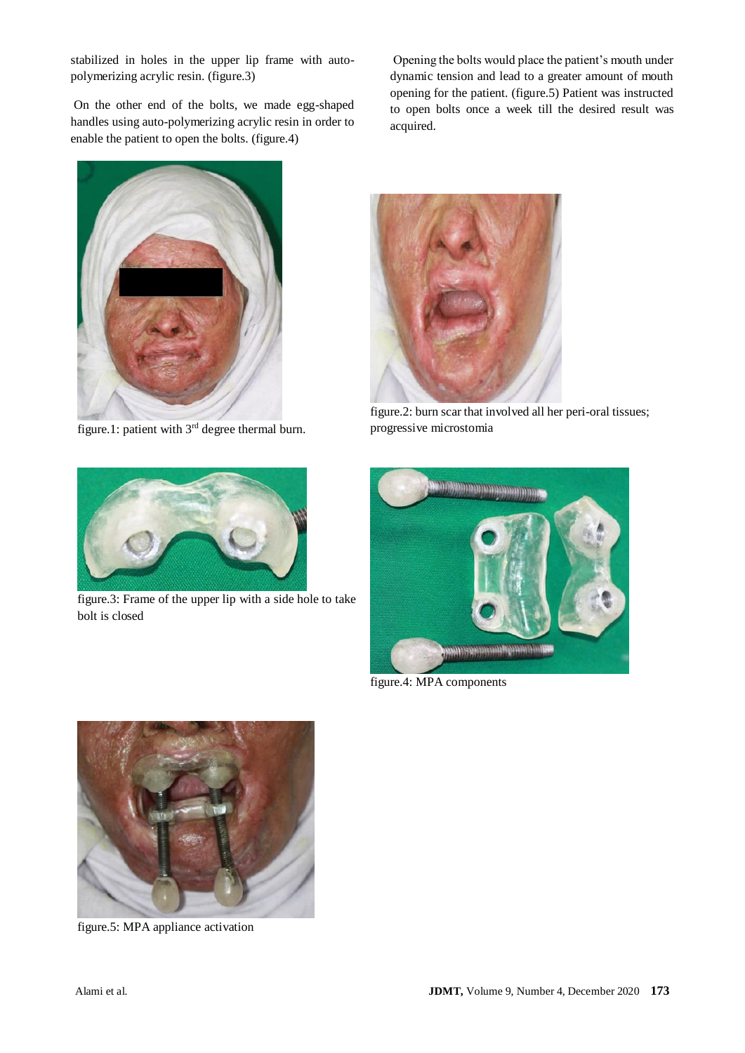stabilized in holes in the upper lip frame with autopolymerizing acrylic resin. (figure.3)

On the other end of the bolts, we made egg-shaped handles using auto-polymerizing acrylic resin in order to enable the patient to open the bolts. (figure.4)

Opening the bolts would place the patient's mouth under dynamic tension and lead to a greater amount of mouth opening for the patient. (figure.5) Patient was instructed to open bolts once a week till the desired result was acquired.



figure.1: patient with 3rd degree thermal burn.



figure.3: Frame of the upper lip with a side hole to take bolt is closed



figure.2: burn scar that involved all her peri-oral tissues; progressive microstomia



figure.4: MPA components



figure.5: MPA appliance activation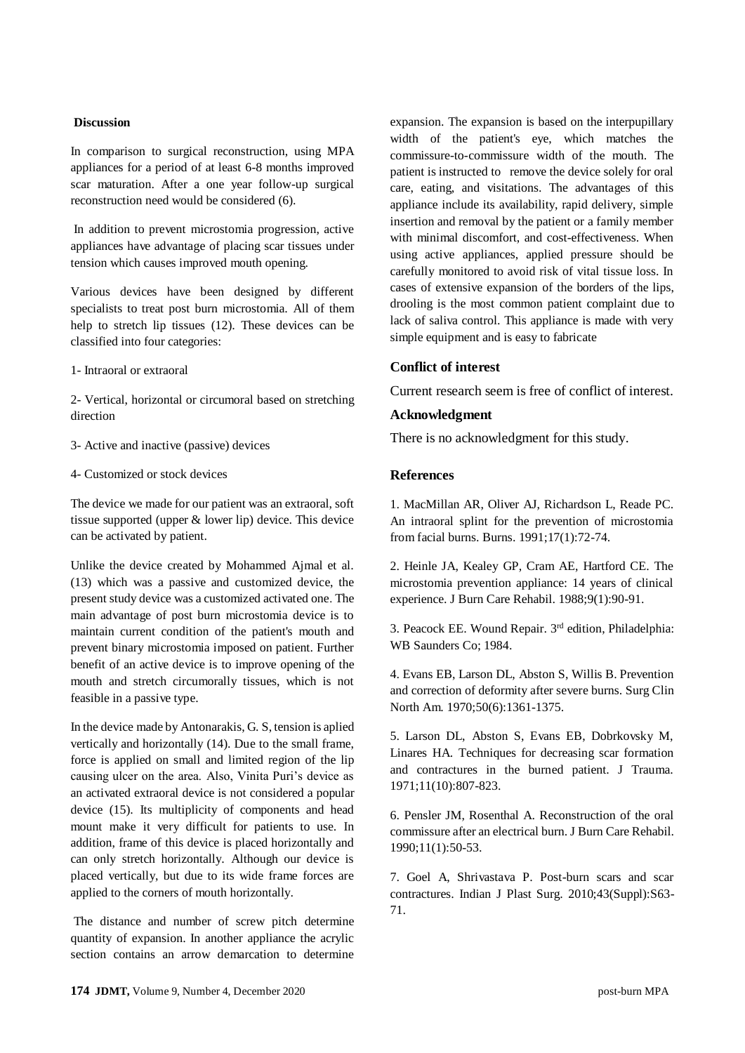#### **Discussion**

In comparison to surgical reconstruction, using MPA appliances for a period of at least 6-8 months improved scar maturation. After a one year follow-up surgical reconstruction need would be considered (6).

In addition to prevent microstomia progression, active appliances have advantage of placing scar tissues under tension which causes improved mouth opening.

Various devices have been designed by different specialists to treat post burn microstomia. All of them help to stretch lip tissues (12). These devices can be classified into four categories:

1- Intraoral or extraoral

2- Vertical, horizontal or circumoral based on stretching direction

- 3- Active and inactive (passive) devices
- 4- Customized or stock devices

The device we made for our patient was an extraoral, soft tissue supported (upper & lower lip) device. This device can be activated by patient.

Unlike the device created by Mohammed Ajmal et al. (13) which was a passive and customized device, the present study device was a customized activated one. The main advantage of post burn microstomia device is to maintain current condition of the patient's mouth and prevent binary microstomia imposed on patient. Further benefit of an active device is to improve opening of the mouth and stretch circumorally tissues, which is not feasible in a passive type.

In the device made by Antonarakis, G. S, tension is aplied vertically and horizontally (14). Due to the small frame, force is applied on small and limited region of the lip causing ulcer on the area. Also, Vinita Puri's device as an activated extraoral device is not considered a popular device (15). Its multiplicity of components and head mount make it very difficult for patients to use. In addition, frame of this device is placed horizontally and can only stretch horizontally. Although our device is placed vertically, but due to its wide frame forces are applied to the corners of mouth horizontally.

The distance and number of screw pitch determine quantity of expansion. In another appliance the acrylic section contains an arrow demarcation to determine

expansion. The expansion is based on the interpupillary width of the patient's eye, which matches the commissure-to-commissure width of the mouth. The patient is instructed to remove the device solely for oral care, eating, and visitations. The advantages of this appliance include its availability, rapid delivery, simple insertion and removal by the patient or a family member with minimal discomfort, and cost-effectiveness. When using active appliances, applied pressure should be carefully monitored to avoid risk of vital tissue loss. In cases of extensive expansion of the borders of the lips, drooling is the most common patient complaint due to lack of saliva control. This appliance is made with very simple equipment and is easy to fabricate

### **Conflict of interest**

Current research seem is free of conflict of interest.

#### **Acknowledgment**

There is no acknowledgment for this study.

#### **References**

1. MacMillan AR, Oliver AJ, Richardson L, Reade PC. An intraoral splint for the prevention of microstomia from facial burns. Burns. 1991;17(1):72-74.

2. Heinle JA, Kealey GP, Cram AE, Hartford CE. The microstomia prevention appliance: 14 years of clinical experience. J Burn Care Rehabil. 1988;9(1):90-91.

3. Peacock EE. Wound Repair. 3rd edition, Philadelphia: WB Saunders Co; 1984.

4. Evans EB, Larson DL, Abston S, Willis B. Prevention and correction of deformity after severe burns. Surg Clin North Am. 1970;50(6):1361-1375.

5. Larson DL, Abston S, Evans EB, Dobrkovsky M, Linares HA. Techniques for decreasing scar formation and contractures in the burned patient. J Trauma. 1971;11(10):807-823.

6. Pensler JM, Rosenthal A. Reconstruction of the oral commissure after an electrical burn. J Burn Care Rehabil. 1990;11(1):50-53.

7. Goel A, Shrivastava P. Post-burn scars and scar contractures. Indian J Plast Surg. 2010;43(Suppl):S63- 71.